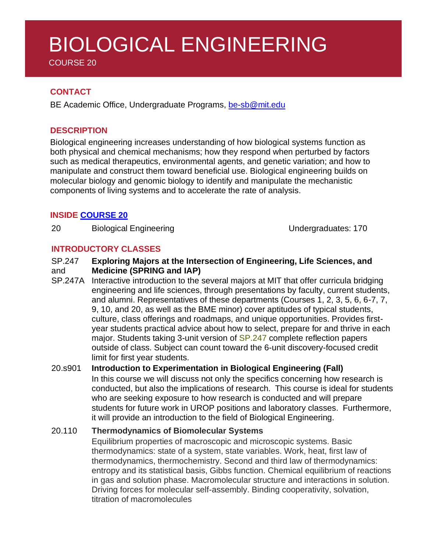# BIOLOGICAL ENGINEERING

COURSE 20

# **CONTACT**

BE Academic Office, Undergraduate Programs, [be-sb@mit.edu](mailto:be-sb@mit.edu)

# **DESCRIPTION**

Biological engineering increases understanding of how biological systems function as both physical and chemical mechanisms; how they respond when perturbed by factors such as medical therapeutics, environmental agents, and genetic variation; and how to manipulate and construct them toward beneficial use. Biological engineering builds on molecular biology and genomic biology to identify and manipulate the mechanistic components of living systems and to accelerate the rate of analysis.

# **INSIDE [COURSE](http://be.mit.edu/academic-programs/current-ug/major-degree-requirements) 20**

20 Biological Engineering Communication Control Control Control Control Control Control Control Control Control Control Control Control Control Control Control Control Control Control Control Control Control Control Contro

# **INTRODUCTORY CLASSES**

#### SP.247 and **Exploring Majors at the Intersection of Engineering, Life Sciences, and Medicine (SPRING and IAP)**

SP.247A Interactive introduction to the several majors at MIT that offer curricula bridging engineering and life sciences, through presentations by faculty, current students, and alumni. Representatives of these departments (Courses 1, 2, 3, 5, 6, 6-7, 7, 9, 10, and 20, as well as the BME minor) cover aptitudes of typical students, culture, class offerings and roadmaps, and unique opportunities. Provides firstyear students practical advice about how to select, prepare for and thrive in each major. Students taking 3-unit version of [SP.247](http://catalog.mit.edu/search/?P=SP.247) complete reflection papers outside of class. Subject can count toward the 6-unit discovery-focused credit limit for first year students.

# 20.s901 **Introduction to Experimentation in Biological Engineering (Fall)**

In this course we will discuss not only the specifics concerning how research is conducted, but also the implications of research. This course is ideal for students who are seeking exposure to how research is conducted and will prepare students for future work in UROP positions and laboratory classes. Furthermore, it will provide an introduction to the field of Biological Engineering.

### 20.110 **Thermodynamics of Biomolecular Systems**

Equilibrium properties of macroscopic and microscopic systems. Basic thermodynamics: state of a system, state variables. Work, heat, first law of thermodynamics, thermochemistry. Second and third law of thermodynamics: entropy and its statistical basis, Gibbs function. Chemical equilibrium of reactions in gas and solution phase. Macromolecular structure and interactions in solution. Driving forces for molecular self-assembly. Binding cooperativity, solvation, titration of macromolecules